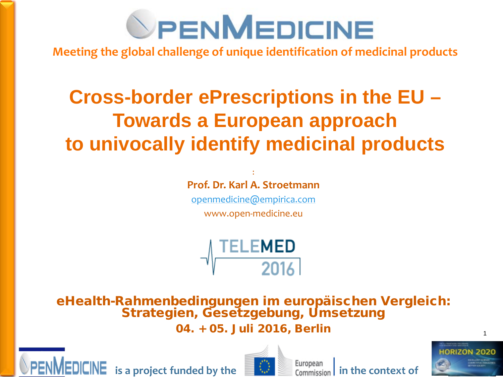

**Meeting the global challenge of unique identification of medicinal products** 

#### **Cross-border ePrescriptions in the EU – Towards a European approach to univocally identify medicinal products**

#### : **Prof. Dr. Karl A. Stroetmann**

[openmedicine@empirica.com](mailto:openmedicine@empirica.com) www.open-medicine.eu



eHealth-Rahmenbedingungen im europäischen Vergleich: Strategien, Gesetzgebung, Umsetzung 04. + 05. Juli 2016, Berlin





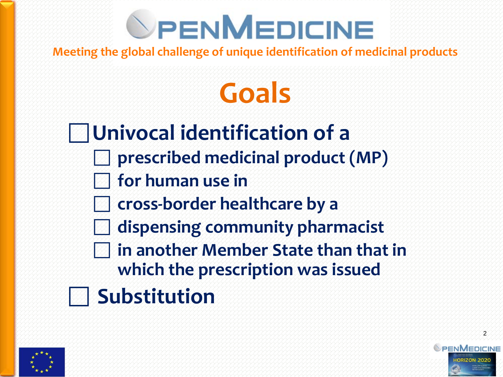**Meeting the global challenge of unique identification of medicinal products** 

## **Goals**

**Univocal identification of a prescribed medicinal product (MP) for human use in cross-border healthcare by a dispensing community pharmacist in another Member State than that in which the prescription was issued Substitution**

PHC-34 643796

ENMEDICINE

 $\mathcal{P}$ 

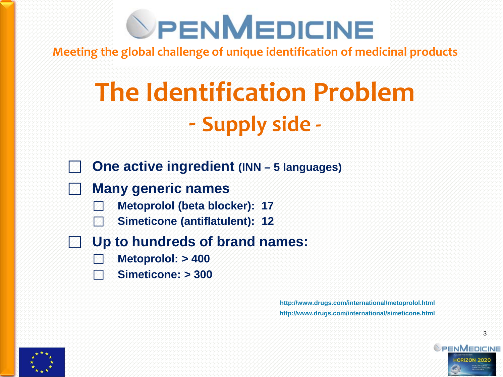**Meeting the global challenge of unique identification of medicinal products** 

## **The Identification Problem - Supply side -**

- **One active ingredient (INN – 5 languages)**
- **Many generic names**
	- **Metoprolol (beta blocker): 17**
	- **Simeticone (antiflatulent): 12**
- **Up to hundreds of brand names:**
	- **Metoprolol: > 400**
	- **Simeticone: > 300**

**http://www.drugs.com/international/metoprolol.html http://www.drugs.com/international/simeticone.html**



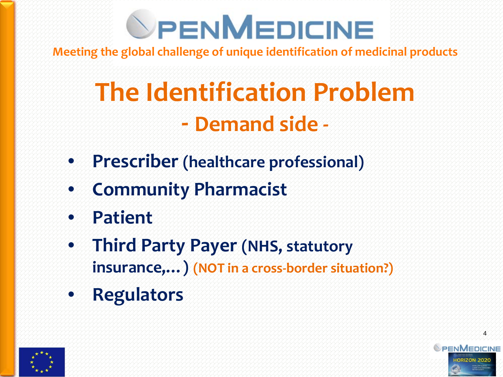**Meeting the global challenge of unique identification of medicinal products** 

## **The Identification Problem - Demand side -**

- **Prescriber (healthcare professional)**
- **Community Pharmacist**
- **Patient**
- **Third Party Payer (NHS, statutory insurance,…) (NOT in a cross-border situation?)**
- **Regulators**



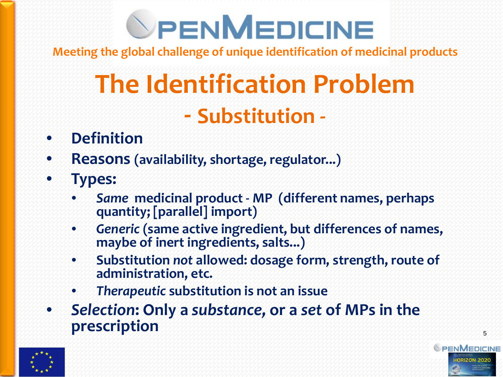**Meeting the global challenge of unique identification of medicinal products** 

## **The Identification Problem - Substitution -**

#### • **Definition**

- **Reasons (availability, shortage, regulator...)**
- **Types:**
	- *Same* **medicinal product - MP (different names, perhaps quantity; [parallel] import)**
	- *Generic* **(same active ingredient, but differences of names, maybe of inert ingredients, salts...)**
	- **Substitution** *not* **allowed: dosage form, strength, route of administration, etc.**
	- *Therapeutic* **substitution is not an issue**
- *Selection***: Only a** *substance,* **or a** *set* **of MPs in the prescription**



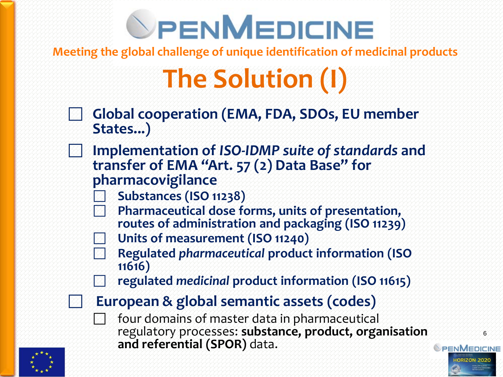**Meeting the global challenge of unique identification of medicinal products** 

## **The Solution (I)**

- **Global cooperation (EMA, FDA, SDOs, EU member States...)**
	- **Implementation of** *ISO-IDMP suite of standards* **and transfer of EMA "Art. 57 (2) Data Base" for pharmacovigilance**
		- **Substances (ISO 11238)**
		- **Pharmaceutical dose forms, units of presentation, routes of administration and packaging (ISO 11239)**
		- **Units of measurement (ISO 11240)**
			- **Regulated** *pharmaceutical* **product information (ISO 11616)**
		- **regulated** *medicinal* **product information (ISO 11615)**
	- **European & global semantic assets (codes)**
		- four domains of master data in pharmaceutical regulatory processes: **substance, product, organisation and referential (SPOR)** data.

PHC-34 643796

**SPENMEDICINE** 

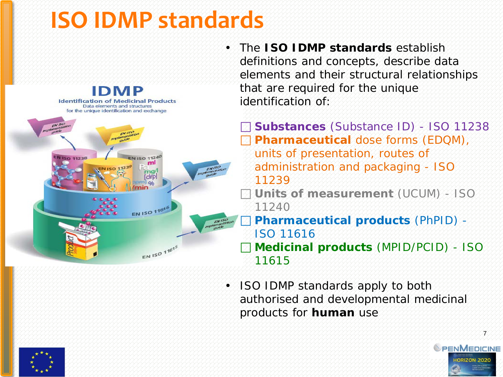### **ISO IDMP standards**



• The **ISO IDMP standards** establish definitions and concepts, describe data elements and their structural relationships that are required for the unique identification of:

 **Substances** (Substance ID) - ISO 11238 **Pharmaceutical** dose forms (EDQM), units of presentation, routes of administration and packaging - ISO 11239

 **Units of measurement** (UCUM) - ISO 11240

 *Pharmaceutical* **products** (PhPID) - ISO 11616 *Medicinal* **products** (MPID/PCID) - ISO 11615

• ISO IDMP standards apply to both authorised and developmental medicinal products for *human* use



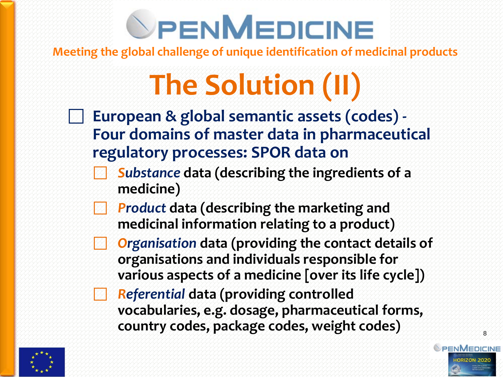**Meeting the global challenge of unique identification of medicinal products** 

## **The Solution (II)**

- **European & global semantic assets (codes) - Four domains of master data in pharmaceutical regulatory processes: SPOR data on**
	- *Substance* **data (describing the ingredients of a medicine)**
	- *Product* **data (describing the marketing and medicinal information relating to a product)**
	- *Organisation* **data (providing the contact details of organisations and individuals responsible for various aspects of a medicine [over its life cycle])**
	- *Referential* **data (providing controlled vocabularies, e.g. dosage, pharmaceutical forms, country codes, package codes, weight codes)**

PHC-34 643796

PENMEDICINE

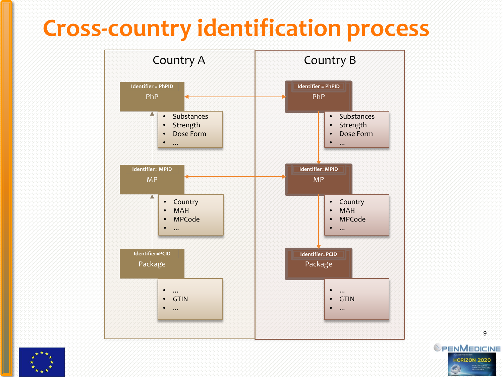### **Cross-country identification process**



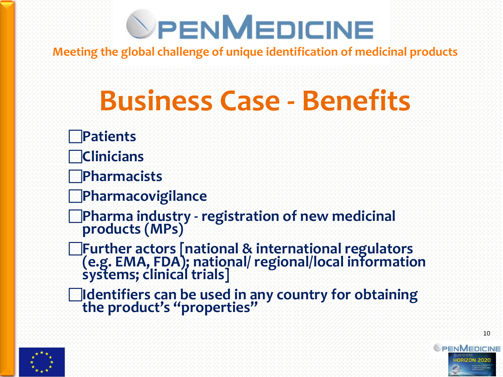**Meeting the global challenge of unique identification of medicinal products** 

## **Business Case - Benefits**

- **Patients**
- **Clinicians**
- **Pharmacists**
- **Pharmacovigilance**
- **Pharma industry - registration of new medicinal products (MPs)**
- **Further actors [national & international regulators (e.g. EMA, FDA); national/ regional/local information systems; clinical trials]**
- **Identifiers can be used in any country for obtaining the product's "properties"**



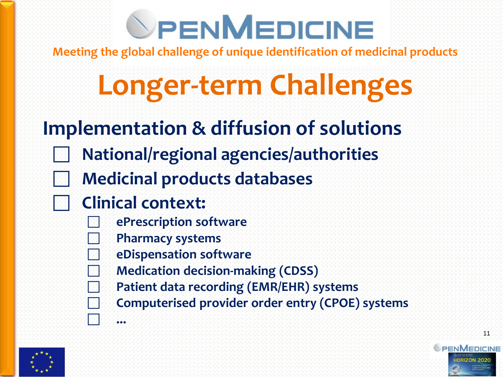**Meeting the global challenge of unique identification of medicinal products** 

## **Longer-term Challenges**

#### **Implementation & diffusion of solutions**

- **National/regional agencies/authorities**
- **Medicinal products databases**
- **Clinical context:**

**...**

- **ePrescription software**
- **Pharmacy systems**
- **eDispensation software**
- **Medication decision-making (CDSS)**
- **Patient data recording (EMR/EHR) systems**
- **Computerised provider order entry (CPOE) systems**



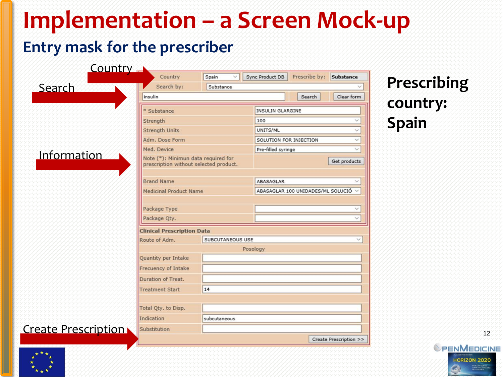## **Implementation – a Screen Mock-up**

#### **Entry mask for the prescriber**

| Country A                  |                                                                               |                  |                         |                                   |                        |
|----------------------------|-------------------------------------------------------------------------------|------------------|-------------------------|-----------------------------------|------------------------|
|                            | Country                                                                       | Spain            | Sync Product DB         | Prescribe by:                     | <b>Substance</b>       |
| <u>Search</u>              | Search by:                                                                    | Substance        |                         |                                   |                        |
|                            | insulin                                                                       |                  |                         | Search                            | Clear form             |
|                            | * Substance                                                                   |                  | <b>INSULIN GLARGINE</b> |                                   |                        |
|                            | Strength                                                                      |                  | 100                     |                                   |                        |
|                            | <b>Strength Units</b>                                                         |                  | UNITS/ML                |                                   |                        |
|                            | Adm. Dose Form                                                                |                  |                         | SOLUTION FOR INJECTION            |                        |
|                            | Med. Device                                                                   |                  |                         | Pre-filled syringe                |                        |
| Information                | Note (*): Minimun data required for<br>prescription without selected product. |                  |                         | Get products                      |                        |
|                            | <b>Brand Name</b>                                                             |                  | ABASAGLAR               |                                   |                        |
|                            | <b>Medicinal Product Name</b>                                                 |                  |                         | ABASAGLAR 100 UNIDADES/ML SOLUCIÓ |                        |
|                            |                                                                               |                  |                         |                                   |                        |
|                            | Package Type                                                                  |                  |                         |                                   |                        |
|                            | Package Qty.                                                                  |                  |                         |                                   |                        |
|                            | <b>Clinical Prescription Data</b>                                             |                  |                         |                                   |                        |
|                            | Route of Adm.                                                                 | SUBCUTANEOUS USE |                         |                                   |                        |
|                            | Posology                                                                      |                  |                         |                                   |                        |
|                            | <b>Quantity per Intake</b>                                                    |                  |                         |                                   |                        |
|                            | Frecuency of Intake                                                           |                  |                         |                                   |                        |
|                            | Duration of Treat.                                                            |                  |                         |                                   |                        |
|                            | <b>Treatment Start</b><br>14                                                  |                  |                         |                                   |                        |
|                            |                                                                               |                  |                         |                                   |                        |
|                            | Total Qty. to Disp.                                                           |                  |                         |                                   |                        |
|                            | Indication                                                                    | subcutaneous     |                         |                                   |                        |
| <b>Create Prescription</b> | Substitution                                                                  |                  |                         |                                   |                        |
|                            |                                                                               |                  |                         |                                   | Create Prescription >> |

#### **Prescribing country: Spain**

12 **SPENMEDICINE ORIZON 2020** PHC-34 643796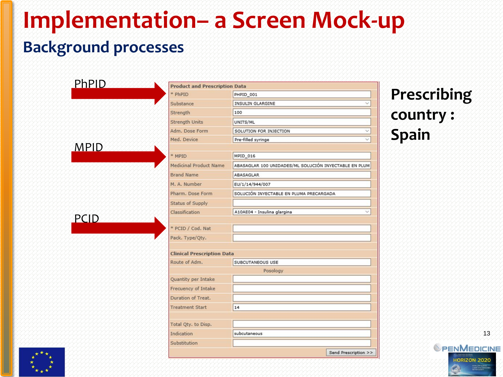### **Implementation– a Screen Mock-up Background processes**

| * PhPID<br>PHPID 001<br>INSULIN GLARGINE<br>Substance<br>Strength<br>100<br><b>Strength Units</b><br>UNITS/ML<br>Adm. Dose Form<br>SOLUTION FOR INJECTION<br>Med. Device<br>Pre-filled syringe<br><b>MPID</b><br>* MPID<br>MPID_016<br><b>Medicinal Product Name</b><br>ABASAGLAR 100 UNIDADES/ML SOLUCIÓN INYECTABLE EN PLUM<br><b>Brand Name</b><br>ABASAGLAR<br>M. A. Number<br>EU/1/14/944/007<br>Pharm, Dose Form<br>SOLUCIÓN INYECTABLE EN PLUMA PRECARGADA<br><b>Status of Supply</b><br>Classification<br>A10AE04 - Insulina glargina<br><b>PCID</b><br>* PCID / Cod. Nat<br>Pack. Type/Qty.<br><b>Clinical Prescription Data</b><br>Route of Adm.<br>SUBCUTANEOUS USE<br>Posology<br>Quantity per Intake<br>Frecuency of Intake<br>Duration of Treat.<br><b>Treatment Start</b><br>14<br>Total Qty. to Disp.<br>Indication<br>subcutaneous | <b>PhPID</b> | <b>Product and Prescription Data</b> |  |  |
|-----------------------------------------------------------------------------------------------------------------------------------------------------------------------------------------------------------------------------------------------------------------------------------------------------------------------------------------------------------------------------------------------------------------------------------------------------------------------------------------------------------------------------------------------------------------------------------------------------------------------------------------------------------------------------------------------------------------------------------------------------------------------------------------------------------------------------------------------------|--------------|--------------------------------------|--|--|
|                                                                                                                                                                                                                                                                                                                                                                                                                                                                                                                                                                                                                                                                                                                                                                                                                                                     |              |                                      |  |  |
|                                                                                                                                                                                                                                                                                                                                                                                                                                                                                                                                                                                                                                                                                                                                                                                                                                                     |              |                                      |  |  |
|                                                                                                                                                                                                                                                                                                                                                                                                                                                                                                                                                                                                                                                                                                                                                                                                                                                     |              |                                      |  |  |
|                                                                                                                                                                                                                                                                                                                                                                                                                                                                                                                                                                                                                                                                                                                                                                                                                                                     |              |                                      |  |  |
|                                                                                                                                                                                                                                                                                                                                                                                                                                                                                                                                                                                                                                                                                                                                                                                                                                                     |              |                                      |  |  |
|                                                                                                                                                                                                                                                                                                                                                                                                                                                                                                                                                                                                                                                                                                                                                                                                                                                     |              |                                      |  |  |
|                                                                                                                                                                                                                                                                                                                                                                                                                                                                                                                                                                                                                                                                                                                                                                                                                                                     |              |                                      |  |  |
|                                                                                                                                                                                                                                                                                                                                                                                                                                                                                                                                                                                                                                                                                                                                                                                                                                                     |              |                                      |  |  |
|                                                                                                                                                                                                                                                                                                                                                                                                                                                                                                                                                                                                                                                                                                                                                                                                                                                     |              |                                      |  |  |
|                                                                                                                                                                                                                                                                                                                                                                                                                                                                                                                                                                                                                                                                                                                                                                                                                                                     |              |                                      |  |  |
|                                                                                                                                                                                                                                                                                                                                                                                                                                                                                                                                                                                                                                                                                                                                                                                                                                                     |              |                                      |  |  |
|                                                                                                                                                                                                                                                                                                                                                                                                                                                                                                                                                                                                                                                                                                                                                                                                                                                     |              |                                      |  |  |
|                                                                                                                                                                                                                                                                                                                                                                                                                                                                                                                                                                                                                                                                                                                                                                                                                                                     |              |                                      |  |  |
|                                                                                                                                                                                                                                                                                                                                                                                                                                                                                                                                                                                                                                                                                                                                                                                                                                                     |              |                                      |  |  |
|                                                                                                                                                                                                                                                                                                                                                                                                                                                                                                                                                                                                                                                                                                                                                                                                                                                     |              |                                      |  |  |
|                                                                                                                                                                                                                                                                                                                                                                                                                                                                                                                                                                                                                                                                                                                                                                                                                                                     |              |                                      |  |  |
|                                                                                                                                                                                                                                                                                                                                                                                                                                                                                                                                                                                                                                                                                                                                                                                                                                                     |              |                                      |  |  |
|                                                                                                                                                                                                                                                                                                                                                                                                                                                                                                                                                                                                                                                                                                                                                                                                                                                     |              |                                      |  |  |
|                                                                                                                                                                                                                                                                                                                                                                                                                                                                                                                                                                                                                                                                                                                                                                                                                                                     |              |                                      |  |  |
|                                                                                                                                                                                                                                                                                                                                                                                                                                                                                                                                                                                                                                                                                                                                                                                                                                                     |              |                                      |  |  |
|                                                                                                                                                                                                                                                                                                                                                                                                                                                                                                                                                                                                                                                                                                                                                                                                                                                     |              |                                      |  |  |
|                                                                                                                                                                                                                                                                                                                                                                                                                                                                                                                                                                                                                                                                                                                                                                                                                                                     |              |                                      |  |  |
|                                                                                                                                                                                                                                                                                                                                                                                                                                                                                                                                                                                                                                                                                                                                                                                                                                                     |              |                                      |  |  |
|                                                                                                                                                                                                                                                                                                                                                                                                                                                                                                                                                                                                                                                                                                                                                                                                                                                     |              |                                      |  |  |
|                                                                                                                                                                                                                                                                                                                                                                                                                                                                                                                                                                                                                                                                                                                                                                                                                                                     |              |                                      |  |  |
|                                                                                                                                                                                                                                                                                                                                                                                                                                                                                                                                                                                                                                                                                                                                                                                                                                                     |              |                                      |  |  |
|                                                                                                                                                                                                                                                                                                                                                                                                                                                                                                                                                                                                                                                                                                                                                                                                                                                     |              | Substitution                         |  |  |

#### **Prescribing country : Spain**



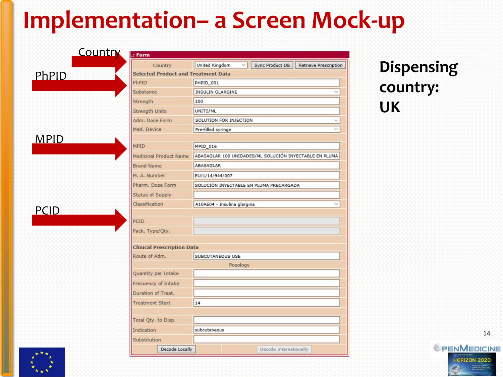### **Implementation– a Screen Mock-up**

#### **PCID**

|             | Country                           | United Kingdom<br>Sync Product DB<br><b>Retrieve Prescription</b> | <b>Dispensing</b> |  |
|-------------|-----------------------------------|-------------------------------------------------------------------|-------------------|--|
|             |                                   | <b>Selected Product and Treatment Data</b>                        |                   |  |
| PhPID       | PhPID                             | PHPID_001                                                         | country:          |  |
|             | Substance                         | <b>INSULIN GLARGINE</b>                                           |                   |  |
|             | Strength                          | 100                                                               |                   |  |
|             | <b>Strength Units</b>             | UNITS/ML                                                          | <b>UK</b>         |  |
|             | Adm. Dose Form                    | SOLUTION FOR INJECTION                                            |                   |  |
|             | Med. Device                       | Pre-filled syringe                                                |                   |  |
| <b>MPID</b> | MPID                              | MPID_016                                                          |                   |  |
|             | <b>Medicinal Product Name</b>     | ABASAGLAR 100 UNIDADES/ML SOLUCIÓN INYECTABLE EN PLUMA            |                   |  |
|             | <b>Brand Name</b>                 | ABASAGLAR                                                         |                   |  |
|             | M. A. Number                      | EU/1/14/944/007                                                   |                   |  |
|             | Pharm. Dose Form                  | SOLUCIÓN INYECTABLE EN PLUMA PRECARGADA                           |                   |  |
|             | <b>Status of Supply</b>           |                                                                   |                   |  |
| PCID        | Classification                    | A10AE04 - Insulina glargina                                       |                   |  |
|             | PCID                              |                                                                   |                   |  |
|             | Pack. Type/Qty.                   |                                                                   |                   |  |
|             | <b>Clinical Prescription Data</b> |                                                                   |                   |  |
|             | Route of Adm.                     | <b>SUBCUTANEOUS USE</b>                                           |                   |  |
|             |                                   | Posology                                                          |                   |  |
|             | Quantity per Intake               |                                                                   |                   |  |
|             | Frecuency of Intake               |                                                                   |                   |  |
|             | Duration of Treat.                |                                                                   |                   |  |
|             | <b>Treatment Start</b>            | 14                                                                |                   |  |
|             | Total Qty. to Disp.               |                                                                   |                   |  |
|             | Indication<br>subcutaneous        |                                                                   |                   |  |
|             | Substitution                      |                                                                   |                   |  |

### **country: UK**



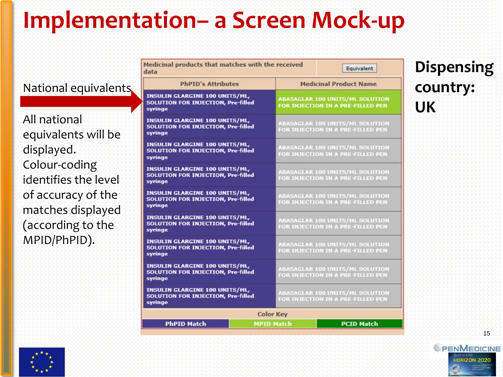## **Implementation– a Screen Mock-up**

#### National equivalents

All national equivalents will be displayed. Colour-coding identifies the level of accuracy of the matches displayed (according to the MPID/PhPID).

| Medicinal products that matches with the received<br>Equivalent<br>data                       |                                                                             |  |  |  |  |
|-----------------------------------------------------------------------------------------------|-----------------------------------------------------------------------------|--|--|--|--|
| <b>PhPID's Attributes</b>                                                                     | <b>Medicinal Product Name</b>                                               |  |  |  |  |
| <b>INSULIN GLARGINE 100 UNITS/ML,</b><br><b>SOLUTION FOR INJECTION, Pre-filled</b><br>syringe | <b>ABASAGLAR 100 UNITS/ML SOLUTION</b><br>FOR INJECTION IN A PRE-FILLED PEN |  |  |  |  |
| <b>INSULIN GLARGINE 100 UNITS/ML,</b><br><b>SOLUTION FOR INJECTION, Pre-filled</b><br>syringe | <b>ABASAGLAR 100 UNITS/ML SOLUTION</b><br>FOR INJECTION IN A PRE-FILLED PEN |  |  |  |  |
| <b>INSULIN GLARGINE 100 UNITS/ML,</b><br><b>SOLUTION FOR INJECTION, Pre-filled</b><br>syringe | <b>ABASAGLAR 100 UNITS/ML SOLUTION</b><br>FOR INJECTION IN A PRE-FILLED PEN |  |  |  |  |
| <b>INSULIN GLARGINE 100 UNITS/ML,</b><br><b>SOLUTION FOR INJECTION, Pre-filled</b><br>syringe | <b>ABASAGLAR 100 UNITS/ML SOLUTION</b><br>FOR INJECTION IN A PRE-FILLED PEN |  |  |  |  |
| <b>INSULIN GLARGINE 100 UNITS/ML,</b><br><b>SOLUTION FOR INJECTION, Pre-filled</b><br>syringe | <b>ABASAGLAR 100 UNITS/ML SOLUTION</b><br>FOR INJECTION IN A PRE-FILLED PEN |  |  |  |  |
| <b>INSULIN GLARGINE 100 UNITS/ML,</b><br><b>SOLUTION FOR INJECTION, Pre-filled</b><br>syringe | <b>ABASAGLAR 100 UNITS/ML SOLUTION</b><br>FOR INJECTION IN A PRE-FILLED PEN |  |  |  |  |
| <b>INSULIN GLARGINE 100 UNITS/ML,</b><br><b>SOLUTION FOR INJECTION, Pre-filled</b><br>syringe | <b>ABASAGLAR 100 UNITS/ML SOLUTION</b><br>FOR INJECTION IN A PRE-FILLED PEN |  |  |  |  |
| <b>INSULIN GLARGINE 100 UNITS/ML,</b><br><b>SOLUTION FOR INJECTION, Pre-filled</b><br>syringe | <b>ABASAGLAR 100 UNITS/ML SOLUTION</b><br>FOR INJECTION IN A PRE-FILLED PEN |  |  |  |  |
| <b>INSULIN GLARGINE 100 UNITS/ML,</b><br><b>SOLUTION FOR INJECTION, Pre-filled</b><br>syringe | <b>ABASAGLAR 100 UNITS/ML SOLUTION</b><br>FOR INJECTION IN A PRE-FILLED PEN |  |  |  |  |
| <b>Color Key</b>                                                                              |                                                                             |  |  |  |  |
| <b>PhPID Match</b><br><b>MPID Match</b>                                                       | <b>PCID Match</b>                                                           |  |  |  |  |

#### **Dispensing country: UK**



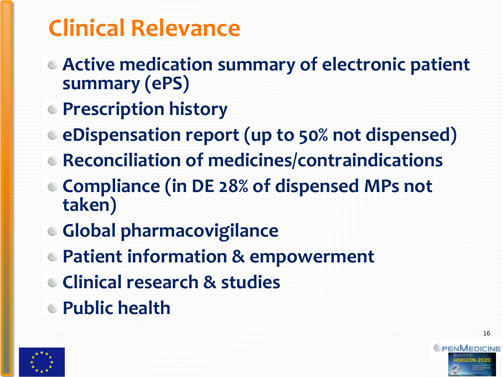## **Clinical Relevance**

- **Active medication summary of electronic patient summary (ePS)**
- **Prescription history**
- **eDispensation report (up to 50% not dispensed)**
- **Reconciliation of medicines/contraindications**
- **Compliance (in DE 28% of dispensed MPs not taken)**
- **Global pharmacovigilance**
- **Patient information & empowerment**
- **Clinical research & studies**
- **Public health**



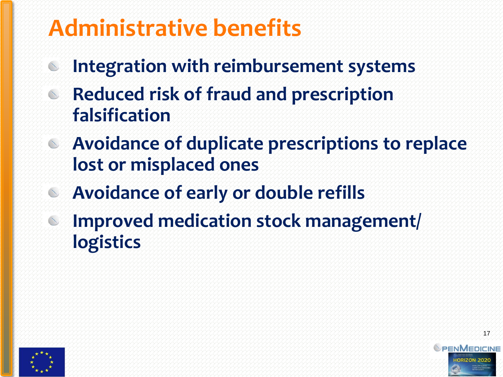### **Administrative benefits**

- **Integration with reimbursement systems**  $\mathbb{C}$
- **Reduced risk of fraud and prescription**   $\infty$ **falsification**
- **Avoidance of duplicate prescriptions to replace lost or misplaced ones**

PHC-34 643796

PENMEDICINE

- **Avoidance of early or double refills**  $\infty$
- **Improved medication stock management/**   $\sim$ **logistics**

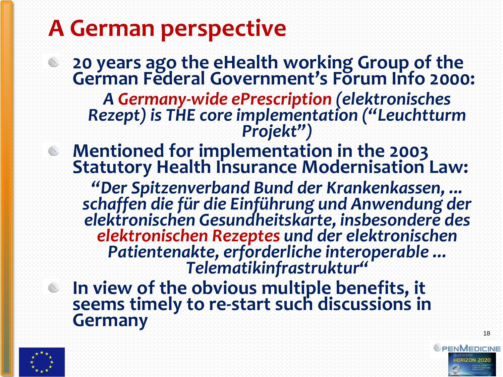### **A German perspective**

**20 years ago the eHealth working Group of the German Federal Government's Forum Info 2000:**  *A Germany-wide ePrescription (elektronisches Rezept) is THE core implementation ("Leuchtturm*

*Projekt")* 

**Mentioned for implementation in the 2003 Statutory Health Insurance Modernisation Law:** 

*"Der Spitzenverband Bund der Krankenkassen, ... schaffen die für die Einführung und Anwendung der elektronischen Gesundheitskarte, insbesondere des elektronischen Rezeptes und der elektronischen Patientenakte, erforderliche interoperable ... Telematikinfrastruktur"*

**In view of the obvious multiple benefits, it seems timely to re-start such discussions in Germany**